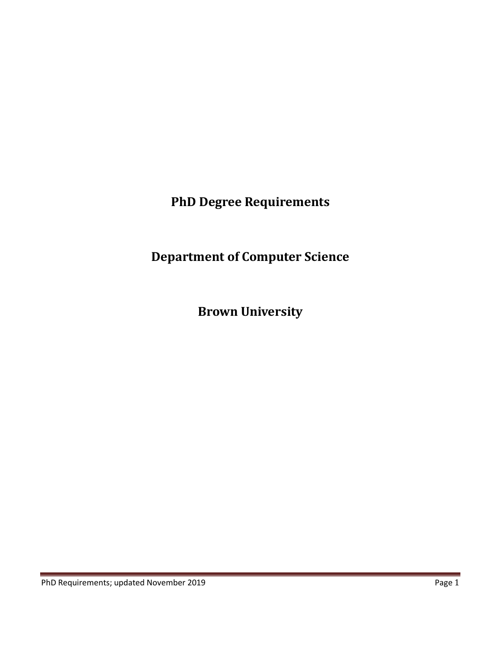**PhD Degree Requirements**

**Department of Computer Science**

**Brown University**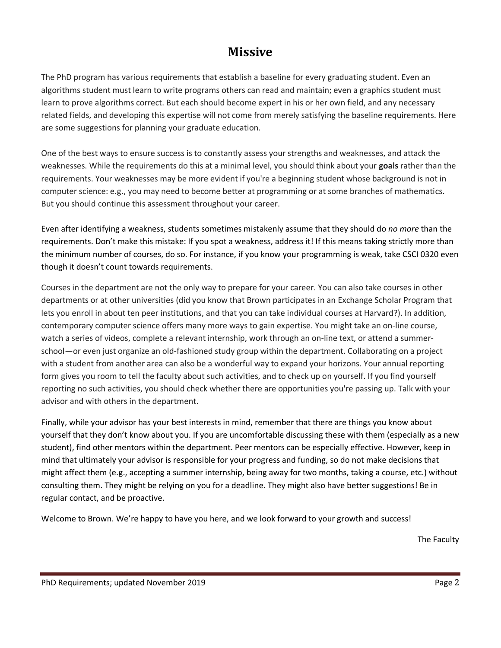# **Missive**

The PhD program has various requirements that establish a baseline for every graduating student. Even an algorithms student must learn to write programs others can read and maintain; even a graphics student must learn to prove algorithms correct. But each should become expert in his or her own field, and any necessary related fields, and developing this expertise will not come from merely satisfying the baseline requirements. Here are some suggestions for planning your graduate education.

One of the best ways to ensure success is to constantly assess your strengths and weaknesses, and attack the weaknesses. While the requirements do this at a minimal level, you should think about your **goals** rather than the requirements. Your weaknesses may be more evident if you're a beginning student whose background is not in computer science: e.g., you may need to become better at programming or at some branches of mathematics. But you should continue this assessment throughout your career.

Even after identifying a weakness, students sometimes mistakenly assume that they should do *no more* than the requirements. Don't make this mistake: If you spot a weakness, address it! If this means taking strictly more than the minimum number of courses, do so. For instance, if you know your programming is weak, take CSCI 0320 even though it doesn't count towards requirements.

Courses in the department are not the only way to prepare for your career. You can also take courses in other departments or at other universities (did you know that Brown participates in an Exchange Scholar Program that lets you enroll in about ten peer institutions, and that you can take individual courses at Harvard?). In addition, contemporary computer science offers many more ways to gain expertise. You might take an on-line course, watch a series of videos, complete a relevant internship, work through an on-line text, or attend a summerschool—or even just organize an old-fashioned study group within the department. Collaborating on a project with a student from another area can also be a wonderful way to expand your horizons. Your annual reporting form gives you room to tell the faculty about such activities, and to check up on yourself. If you find yourself reporting no such activities, you should check whether there are opportunities you're passing up. Talk with your advisor and with others in the department.

Finally, while your advisor has your best interests in mind, remember that there are things you know about yourself that they don't know about you. If you are uncomfortable discussing these with them (especially as a new student), find other mentors within the department. Peer mentors can be especially effective. However, keep in mind that ultimately your advisor is responsible for your progress and funding, so do not make decisions that might affect them (e.g., accepting a summer internship, being away for two months, taking a course, etc.) without consulting them. They might be relying on you for a deadline. They might also have better suggestions! Be in regular contact, and be proactive.

Welcome to Brown. We're happy to have you here, and we look forward to your growth and success!

The Faculty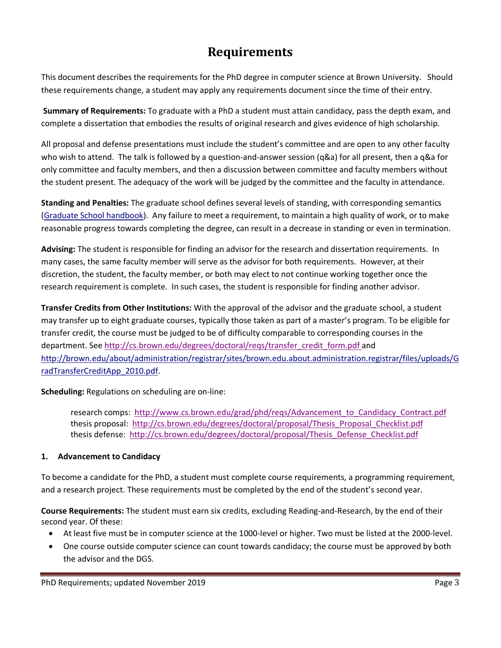# **Requirements**

This document describes the requirements for the PhD degree in computer science at Brown University. Should these requirements change, a student may apply any requirements document since the time of their entry.

**Summary of Requirements:** To graduate with a PhD a student must attain candidacy, pass the depth exam, and complete a dissertation that embodies the results of original research and gives evidence of high scholarship.

All proposal and defense presentations must include the student's committee and are open to any other faculty who wish to attend. The talk is followed by a question-and-answer session (q&a) for all present, then a q&a for only committee and faculty members, and then a discussion between committee and faculty members without the student present. The adequacy of the work will be judged by the committee and the faculty in attendance.

**Standing and Penalties:** The graduate school defines several levels of standing, with corresponding semantics (Graduate School handbook). Any failure to meet a requirement, to maintain a high quality of work, or to make reasonable progress towards completing the degree, can result in a decrease in standing or even in termination.

**Advising:** The student is responsible for finding an advisor for the research and dissertation requirements. In many cases, the same faculty member will serve as the advisor for both requirements. However, at their discretion, the student, the faculty member, or both may elect to not continue working together once the research requirement is complete. In such cases, the student is responsible for finding another advisor.

**Transfer Credits from Other Institutions:** With the approval of the advisor and the graduate school, a student may transfer up to eight graduate courses, typically those taken as part of a master's program. To be eligible for transfer credit, the course must be judged to be of difficulty comparable to corresponding courses in the department. See http://cs.brown.edu/degrees/doctoral/reqs/transfer\_credit\_form.pdf and http://brown.edu/about/administration/registrar/sites/brown.edu.about.administration.registrar/files/uploads/G radTransferCreditApp\_2010.pdf.

**Scheduling:** Regulations on scheduling are on-line:

research comps: http://www.cs.brown.edu/grad/phd/reqs/Advancement\_to\_Candidacy\_Contract.pdf thesis proposal: http://cs.brown.edu/degrees/doctoral/proposal/Thesis\_Proposal\_Checklist.pdf thesis defense: http://cs.brown.edu/degrees/doctoral/proposal/Thesis\_Defense\_Checklist.pdf

# **1. Advancement to Candidacy**

To become a candidate for the PhD, a student must complete course requirements, a programming requirement, and a research project. These requirements must be completed by the end of the student's second year.

**Course Requirements:** The student must earn six credits, excluding Reading-and-Research, by the end of their second year. Of these:

- At least five must be in computer science at the 1000-level or higher. Two must be listed at the 2000-level.
- One course outside computer science can count towards candidacy; the course must be approved by both the advisor and the DGS.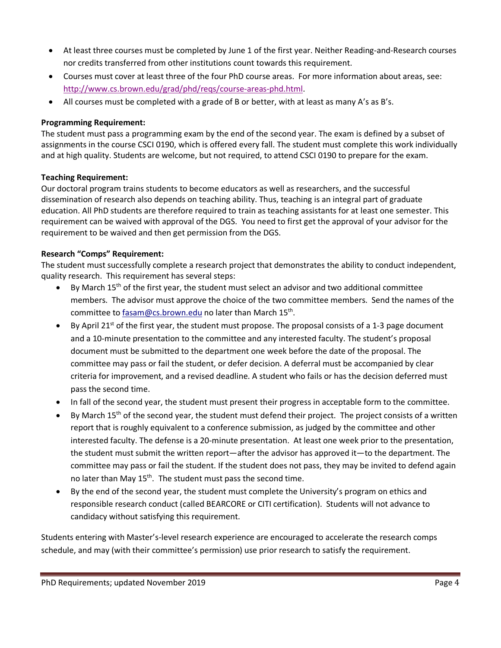- At least three courses must be completed by June 1 of the first year. Neither Reading-and-Research courses nor credits transferred from other institutions count towards this requirement.
- Courses must cover at least three of the four PhD course areas. For more information about areas, see: http://www.cs.brown.edu/grad/phd/reqs/course-areas-phd.html.
- All courses must be completed with a grade of B or better, with at least as many A's as B's.

# **Programming Requirement:**

The student must pass a programming exam by the end of the second year. The exam is defined by a subset of assignments in the course CSCI 0190, which is offered every fall. The student must complete this work individually and at high quality. Students are welcome, but not required, to attend CSCI 0190 to prepare for the exam.

# **Teaching Requirement:**

Our doctoral program trains students to become educators as well as researchers, and the successful dissemination of research also depends on teaching ability. Thus, teaching is an integral part of graduate education. All PhD students are therefore required to train as teaching assistants for at least one semester. This requirement can be waived with approval of the DGS. You need to first get the approval of your advisor for the requirement to be waived and then get permission from the DGS.

# **Research "Comps" Requirement:**

The student must successfully complete a research project that demonstrates the ability to conduct independent, quality research. This requirement has several steps:

- By March 15<sup>th</sup> of the first year, the student must select an advisor and two additional committee members. The advisor must approve the choice of the two committee members. Send the names of the committee to fasam@cs.brown.edu no later than March 15<sup>th</sup>.
- By April 21<sup>st</sup> of the first year, the student must propose. The proposal consists of a 1-3 page document and a 10-minute presentation to the committee and any interested faculty. The student's proposal document must be submitted to the department one week before the date of the proposal. The committee may pass or fail the student, or defer decision. A deferral must be accompanied by clear criteria for improvement, and a revised deadline. A student who fails or has the decision deferred must pass the second time.
- In fall of the second year, the student must present their progress in acceptable form to the committee.
- By March  $15<sup>th</sup>$  of the second year, the student must defend their project. The project consists of a written report that is roughly equivalent to a conference submission, as judged by the committee and other interested faculty. The defense is a 20-minute presentation. At least one week prior to the presentation, the student must submit the written report—after the advisor has approved it—to the department. The committee may pass or fail the student. If the student does not pass, they may be invited to defend again no later than May 15<sup>th</sup>. The student must pass the second time.
- By the end of the second year, the student must complete the University's program on ethics and responsible research conduct (called BEARCORE or CITI certification). Students will not advance to candidacy without satisfying this requirement.

Students entering with Master's-level research experience are encouraged to accelerate the research comps schedule, and may (with their committee's permission) use prior research to satisfy the requirement.